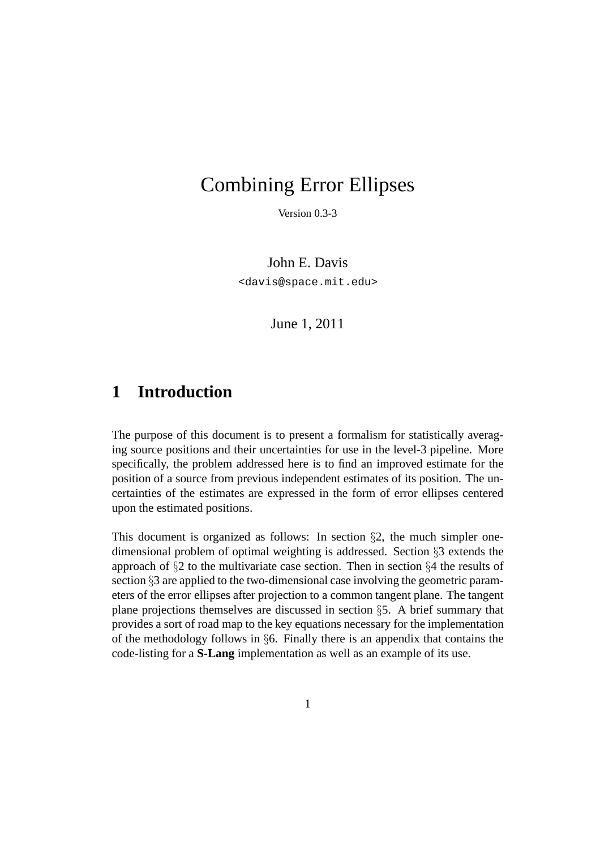# Combining Error Ellipses

Version 0.3-3

John E. Davis

<davis@space.mit.edu>

June 1, 2011

# **1 Introduction**

The purpose of this document is to present a formalism for statistically averaging source positions and their uncertainties for use in the level-3 pipeline. More specifically, the problem addressed here is to find an improved estimate for the position of a source from previous independent estimates of its position. The uncertainties of the estimates are expressed in the form of error ellipses centered upon the estimated positions.

This document is organized as follows: In section §2, the much simpler onedimensional problem of optimal weighting is addressed. Section §3 extends the approach of §2 to the multivariate case section. Then in section §4 the results of section §3 are applied to the two-dimensional case involving the geometric parameters of the error ellipses after projection to a common tangent plane. The tangent plane projections themselves are discussed in section §5. A brief summary that provides a sort of road map to the key equations necessary for the implementation of the methodology follows in  $\S6$ . Finally there is an appendix that contains the code-listing for a **S-Lang** implementation as well as an example of its use.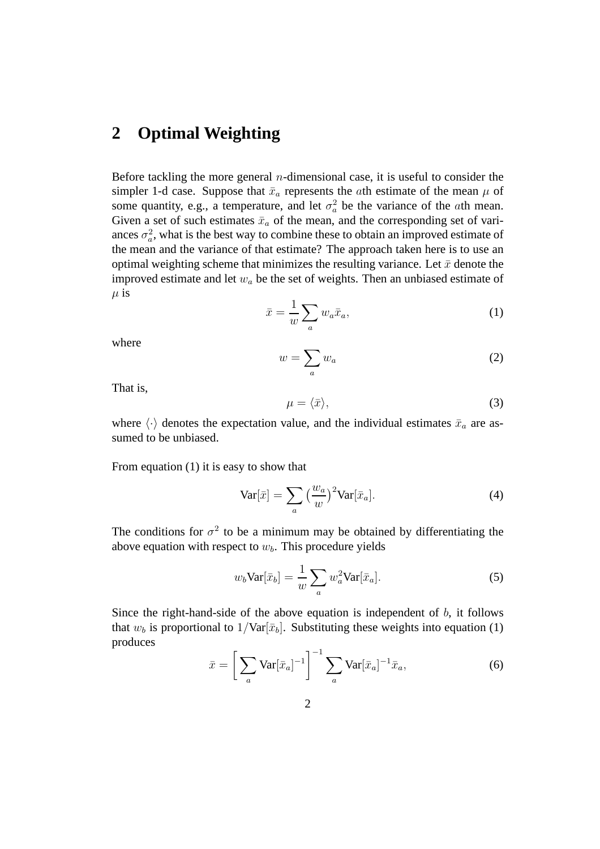# **2 Optimal Weighting**

Before tackling the more general  $n$ -dimensional case, it is useful to consider the simpler 1-d case. Suppose that  $\bar{x}_a$  represents the *ath* estimate of the mean  $\mu$  of some quantity, e.g., a temperature, and let  $\sigma_a^2$  be the variance of the *ath* mean. Given a set of such estimates  $\bar{x}_a$  of the mean, and the corresponding set of variances  $\sigma_a^2$  $a_a^2$ , what is the best way to combine these to obtain an improved estimate of the mean and the variance of that estimate? The approach taken here is to use an optimal weighting scheme that minimizes the resulting variance. Let  $\bar{x}$  denote the improved estimate and let  $w_a$  be the set of weights. Then an unbiased estimate of  $\mu$  is

$$
\bar{x} = \frac{1}{w} \sum_{a} w_a \bar{x}_a,\tag{1}
$$

where

$$
w = \sum_{a} w_a \tag{2}
$$

That is,

$$
\mu = \langle \bar{x} \rangle, \tag{3}
$$

where  $\langle \cdot \rangle$  denotes the expectation value, and the individual estimates  $\bar{x}_a$  are assumed to be unbiased.

From equation (1) it is easy to show that

$$
\text{Var}[\bar{x}] = \sum_{a} \left(\frac{w_a}{w}\right)^2 \text{Var}[\bar{x}_a]. \tag{4}
$$

The conditions for  $\sigma^2$  to be a minimum may be obtained by differentiating the above equation with respect to  $w<sub>b</sub>$ . This procedure yields

$$
w_b \text{Var}[\bar{x}_b] = \frac{1}{w} \sum_a w_a^2 \text{Var}[\bar{x}_a]. \tag{5}
$$

Since the right-hand-side of the above equation is independent of  $b$ , it follows that  $w_b$  is proportional to  $1/\text{Var}[\bar{x}_b]$ . Substituting these weights into equation (1) produces

$$
\bar{x} = \left[\sum_{a} \text{Var}[\bar{x}_a]^{-1}\right]^{-1} \sum_{a} \text{Var}[\bar{x}_a]^{-1} \bar{x}_a,\tag{6}
$$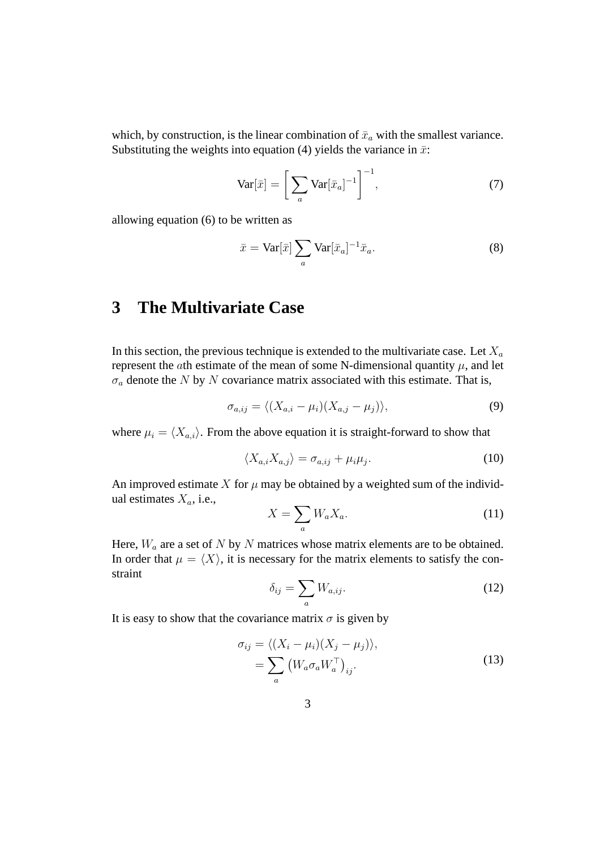which, by construction, is the linear combination of  $\bar{x}_a$  with the smallest variance. Substituting the weights into equation (4) yields the variance in  $\bar{x}$ :

$$
\text{Var}[\bar{x}] = \left[\sum_{a} \text{Var}[\bar{x}_a]^{-1}\right]^{-1},\tag{7}
$$

allowing equation (6) to be written as

$$
\bar{x} = \text{Var}[\bar{x}] \sum_{a} \text{Var}[\bar{x}_a]^{-1} \bar{x}_a.
$$
 (8)

### **3 The Multivariate Case**

In this section, the previous technique is extended to the multivariate case. Let  $X_a$ represent the *ath* estimate of the mean of some N-dimensional quantity  $\mu$ , and let  $\sigma_a$  denote the N by N covariance matrix associated with this estimate. That is,

$$
\sigma_{a,ij} = \langle (X_{a,i} - \mu_i)(X_{a,j} - \mu_j) \rangle, \tag{9}
$$

where  $\mu_i = \langle X_{a,i} \rangle$ . From the above equation it is straight-forward to show that

$$
\langle X_{a,i} X_{a,j} \rangle = \sigma_{a,ij} + \mu_i \mu_j. \tag{10}
$$

An improved estimate X for  $\mu$  may be obtained by a weighted sum of the individual estimates  $X_a$ , i.e.,

$$
X = \sum_{a} W_a X_a.
$$
 (11)

Here,  $W_a$  are a set of N by N matrices whose matrix elements are to be obtained. In order that  $\mu = \langle X \rangle$ , it is necessary for the matrix elements to satisfy the constraint

$$
\delta_{ij} = \sum_{a} W_{a,ij}.
$$
 (12)

It is easy to show that the covariance matrix  $\sigma$  is given by

$$
\sigma_{ij} = \langle (X_i - \mu_i)(X_j - \mu_j) \rangle,
$$
  
= 
$$
\sum_a (W_a \sigma_a W_a^{\top})_{ij}.
$$
 (13)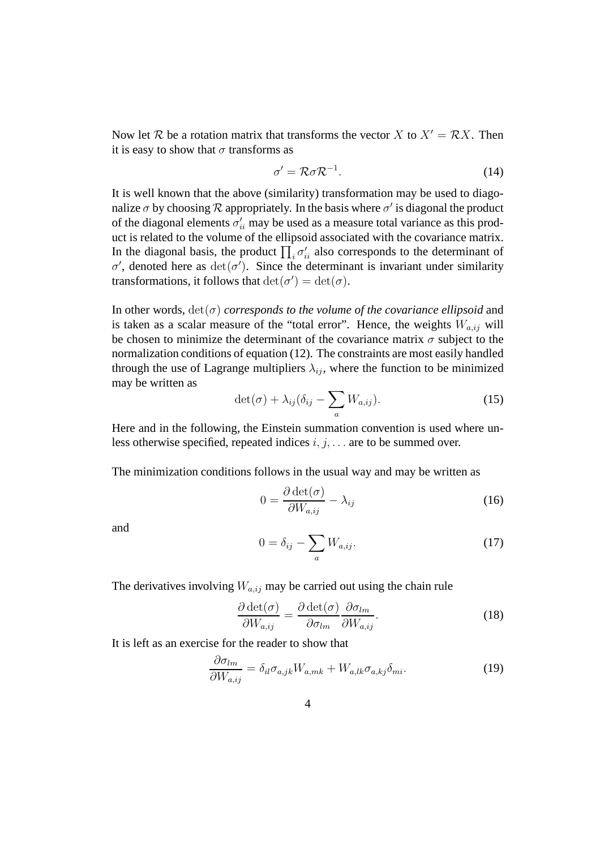Now let R be a rotation matrix that transforms the vector X to  $X' = \mathcal{R}X$ . Then it is easy to show that  $\sigma$  transforms as

$$
\sigma' = \mathcal{R}\sigma \mathcal{R}^{-1}.\tag{14}
$$

It is well known that the above (similarity) transformation may be used to diagonalize  $\sigma$  by choosing  $\mathcal R$  appropriately. In the basis where  $\sigma'$  is diagonal the product of the diagonal elements  $\sigma'_{ii}$  may be used as a measure total variance as this product is related to the volume of the ellipsoid associated with the covariance matrix. In the diagonal basis, the product  $\prod_i \sigma'_{ii}$  also corresponds to the determinant of  $\sigma'$ , denoted here as  $det(\sigma')$ . Since the determinant is invariant under similarity transformations, it follows that  $\det(\sigma') = \det(\sigma)$ .

In other words,  $\det(\sigma)$  *corresponds to the volume of the covariance ellipsoid* and is taken as a scalar measure of the "total error". Hence, the weights  $W_{a,ij}$  will be chosen to minimize the determinant of the covariance matrix  $\sigma$  subject to the normalization conditions of equation (12). The constraints are most easily handled through the use of Lagrange multipliers  $\lambda_{ij}$ , where the function to be minimized may be written as

$$
\det(\sigma) + \lambda_{ij} (\delta_{ij} - \sum_{a} W_{a,ij}). \tag{15}
$$

Here and in the following, the Einstein summation convention is used where unless otherwise specified, repeated indices  $i, j, \ldots$  are to be summed over.

The minimization conditions follows in the usual way and may be written as

$$
0 = \frac{\partial \det(\sigma)}{\partial W_{a,ij}} - \lambda_{ij}
$$
 (16)

and

$$
0 = \delta_{ij} - \sum_{a} W_{a,ij}.
$$
 (17)

The derivatives involving  $W_{a,ij}$  may be carried out using the chain rule

$$
\frac{\partial \det(\sigma)}{\partial W_{a,ij}} = \frac{\partial \det(\sigma)}{\partial \sigma_{lm}} \frac{\partial \sigma_{lm}}{\partial W_{a,ij}}.
$$
\n(18)

It is left as an exercise for the reader to show that

$$
\frac{\partial \sigma_{lm}}{\partial W_{a,ij}} = \delta_{il} \sigma_{a,jk} W_{a,mk} + W_{a,lk} \sigma_{a,kj} \delta_{mi}.
$$
\n(19)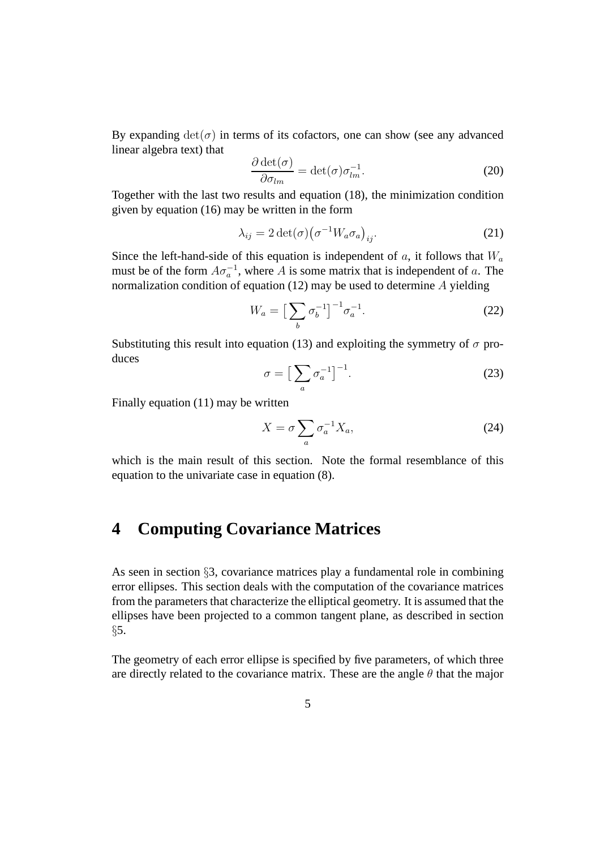By expanding  $det(\sigma)$  in terms of its cofactors, one can show (see any advanced linear algebra text) that

$$
\frac{\partial \det(\sigma)}{\partial \sigma_{lm}} = \det(\sigma) \sigma_{lm}^{-1}.
$$
 (20)

Together with the last two results and equation (18), the minimization condition given by equation (16) may be written in the form

$$
\lambda_{ij} = 2 \det(\sigma) \left( \sigma^{-1} W_a \sigma_a \right)_{ij}.
$$
 (21)

Since the left-hand-side of this equation is independent of  $a$ , it follows that  $W_a$ must be of the form  $A\sigma_a^{-1}$ , where A is some matrix that is independent of a. The normalization condition of equation (12) may be used to determine A yielding

$$
W_a = \left[\sum_b \sigma_b^{-1}\right]^{-1} \sigma_a^{-1}.
$$
 (22)

Substituting this result into equation (13) and exploiting the symmetry of  $\sigma$  produces

$$
\sigma = \left[\sum_{a} \sigma_a^{-1}\right]^{-1}.\tag{23}
$$

Finally equation (11) may be written

$$
X = \sigma \sum_{a} \sigma_a^{-1} X_a,\tag{24}
$$

which is the main result of this section. Note the formal resemblance of this equation to the univariate case in equation (8).

### **4 Computing Covariance Matrices**

As seen in section §3, covariance matrices play a fundamental role in combining error ellipses. This section deals with the computation of the covariance matrices from the parameters that characterize the elliptical geometry. It is assumed that the ellipses have been projected to a common tangent plane, as described in section §5.

The geometry of each error ellipse is specified by five parameters, of which three are directly related to the covariance matrix. These are the angle  $\theta$  that the major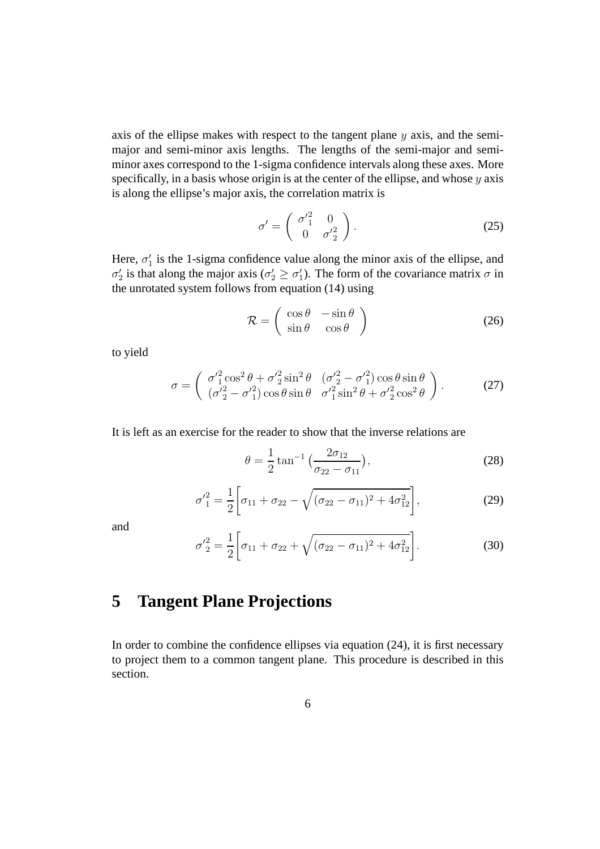axis of the ellipse makes with respect to the tangent plane  $y$  axis, and the semimajor and semi-minor axis lengths. The lengths of the semi-major and semiminor axes correspond to the 1-sigma confidence intervals along these axes. More specifically, in a basis whose origin is at the center of the ellipse, and whose  $y$  axis is along the ellipse's major axis, the correlation matrix is

$$
\sigma' = \begin{pmatrix} \sigma'^2 & 0 \\ 0 & \sigma'^2 \end{pmatrix}.
$$
 (25)

Here,  $\sigma_1$  is the 1-sigma confidence value along the minor axis of the ellipse, and  $\sigma'_2$  is that along the major axis ( $\sigma'_2 \geq \sigma'_1$ ). The form of the covariance matrix  $\sigma$  in the unrotated system follows from equation (14) using

$$
\mathcal{R} = \begin{pmatrix} \cos \theta & -\sin \theta \\ \sin \theta & \cos \theta \end{pmatrix}
$$
 (26)

to yield

$$
\sigma = \begin{pmatrix} \sigma_1^2 \cos^2 \theta + \sigma_2^2 \sin^2 \theta & (\sigma_2^2 - \sigma_1^2) \cos \theta \sin \theta \\ (\sigma_2^2 - \sigma_1^2) \cos \theta \sin \theta & \sigma_1^2 \sin^2 \theta + \sigma_2^2 \cos^2 \theta \end{pmatrix}.
$$
 (27)

It is left as an exercise for the reader to show that the inverse relations are

$$
\theta = \frac{1}{2} \tan^{-1} \left( \frac{2\sigma_{12}}{\sigma_{22} - \sigma_{11}} \right),\tag{28}
$$

$$
\sigma_1^2 = \frac{1}{2} \bigg[ \sigma_{11} + \sigma_{22} - \sqrt{(\sigma_{22} - \sigma_{11})^2 + 4\sigma_{12}^2} \bigg], \tag{29}
$$

and

$$
\sigma_2^2 = \frac{1}{2} \bigg[ \sigma_{11} + \sigma_{22} + \sqrt{(\sigma_{22} - \sigma_{11})^2 + 4\sigma_{12}^2} \bigg]. \tag{30}
$$

### **5 Tangent Plane Projections**

In order to combine the confidence ellipses via equation (24), it is first necessary to project them to a common tangent plane. This procedure is described in this section.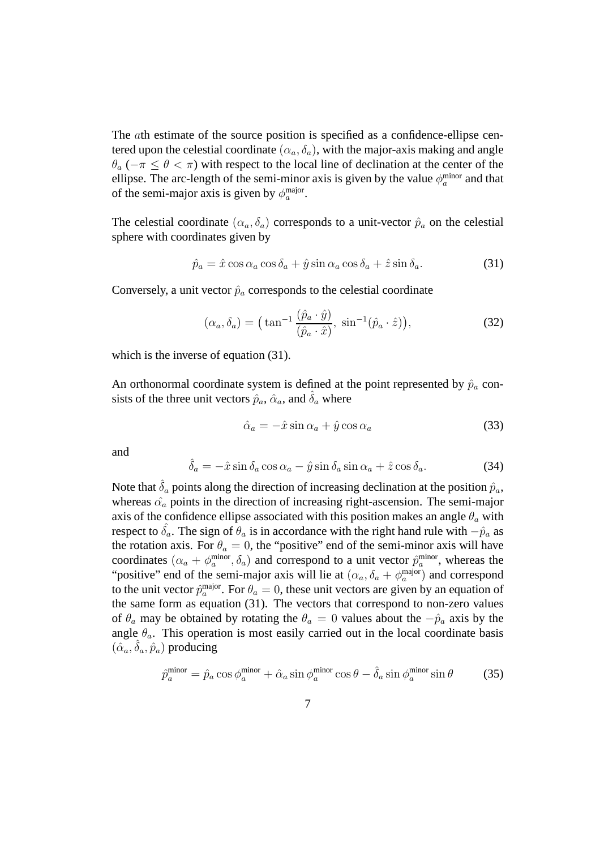The ath estimate of the source position is specified as a confidence-ellipse centered upon the celestial coordinate  $(\alpha_a, \delta_a)$ , with the major-axis making and angle  $\theta_a$  ( $-\pi \le \theta < \pi$ ) with respect to the local line of declination at the center of the ellipse. The arc-length of the semi-minor axis is given by the value  $\phi_a^{\text{minor}}$  and that of the semi-major axis is given by  $\phi_a^{\text{major}}$ .

The celestial coordinate  $(\alpha_a, \delta_a)$  corresponds to a unit-vector  $\hat{p}_a$  on the celestial sphere with coordinates given by

$$
\hat{p}_a = \hat{x}\cos\alpha_a\cos\delta_a + \hat{y}\sin\alpha_a\cos\delta_a + \hat{z}\sin\delta_a. \tag{31}
$$

Conversely, a unit vector  $\hat{p}_a$  corresponds to the celestial coordinate

$$
(\alpha_a, \delta_a) = \left(\tan^{-1} \frac{(\hat{p}_a \cdot \hat{y})}{(\hat{p}_a \cdot \hat{x})}, \sin^{-1}(\hat{p}_a \cdot \hat{z})\right),\tag{32}
$$

which is the inverse of equation  $(31)$ .

An orthonormal coordinate system is defined at the point represented by  $\hat{p}_a$  consists of the three unit vectors  $\hat{p}_a$ ,  $\hat{\alpha}_a$ , and  $\hat{\delta}_a$  where

$$
\hat{\alpha}_a = -\hat{x}\sin\alpha_a + \hat{y}\cos\alpha_a \tag{33}
$$

and

$$
\hat{\delta}_a = -\hat{x}\sin\delta_a\cos\alpha_a - \hat{y}\sin\delta_a\sin\alpha_a + \hat{z}\cos\delta_a. \tag{34}
$$

Note that  $\hat{\delta}_a$  points along the direction of increasing declination at the position  $\hat{p}_a$ , whereas  $\hat{\alpha}_a$  points in the direction of increasing right-ascension. The semi-major axis of the confidence ellipse associated with this position makes an angle  $\theta_a$  with respect to  $\delta_a$ . The sign of  $\theta_a$  is in accordance with the right hand rule with  $-\hat{p}_a$  as the rotation axis. For  $\theta_a = 0$ , the "positive" end of the semi-minor axis will have coordinates  $(\alpha_a + \phi_a^{\text{minor}}, \delta_a)$  and correspond to a unit vector  $\hat{p}_a^{\text{minor}}$ , whereas the "positive" end of the semi-major axis will lie at  $(\alpha_a, \delta_a + \phi_a^{\text{major}})$  and correspond to the unit vector  $\hat{p}_a^{\text{major}}$ . For  $\theta_a = 0$ , these unit vectors are given by an equation of the same form as equation (31). The vectors that correspond to non-zero values of  $\theta_a$  may be obtained by rotating the  $\theta_a = 0$  values about the  $-\hat{p}_a$  axis by the angle  $\theta_a$ . This operation is most easily carried out in the local coordinate basis  $(\hat{\alpha}_a, \hat{\delta}_a, \hat{p}_a)$  producing

$$
\hat{p}_a^{\text{minor}} = \hat{p}_a \cos \phi_a^{\text{minor}} + \hat{\alpha}_a \sin \phi_a^{\text{minor}} \cos \theta - \hat{\delta}_a \sin \phi_a^{\text{minor}} \sin \theta \tag{35}
$$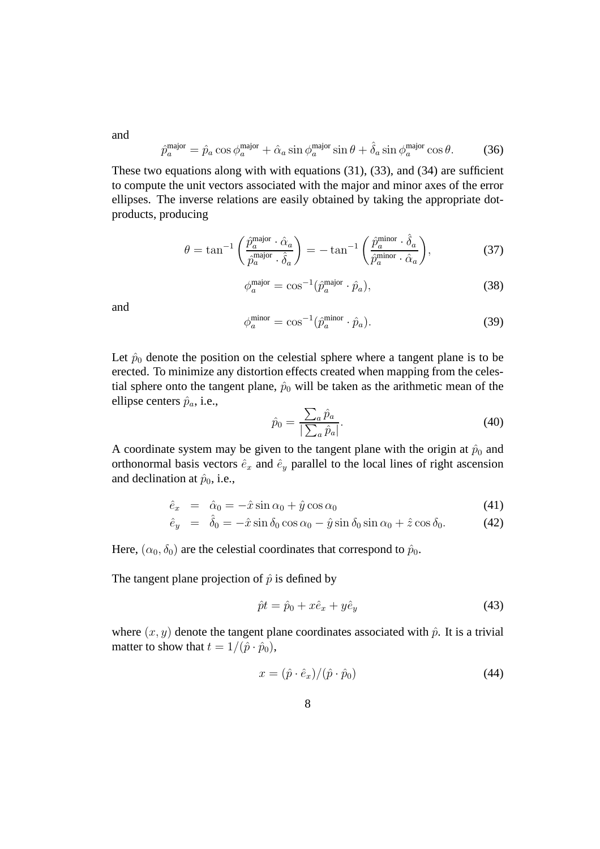$\hat{p}_a^{\text{major}} = \hat{p}_a \cos \phi_a^{\text{major}} + \hat{\alpha}_a \sin \phi_a^{\text{major}} \sin \theta + \hat{\delta}_a \sin \phi_a^{\text{major}} \cos \theta.$  (36)

These two equations along with with equations (31), (33), and (34) are sufficient to compute the unit vectors associated with the major and minor axes of the error ellipses. The inverse relations are easily obtained by taking the appropriate dotproducts, producing

$$
\theta = \tan^{-1} \left( \frac{\hat{p}_a^{\text{major}} \cdot \hat{\alpha}_a}{\hat{p}_a^{\text{major}} \cdot \hat{\delta}_a} \right) = -\tan^{-1} \left( \frac{\hat{p}_a^{\text{minor}} \cdot \hat{\delta}_a}{\hat{p}_a^{\text{minor}} \cdot \hat{\alpha}_a} \right),\tag{37}
$$

$$
\phi_a^{\text{major}} = \cos^{-1}(\hat{p}_a^{\text{major}} \cdot \hat{p}_a),\tag{38}
$$

and

$$
\phi_a^{\text{minor}} = \cos^{-1}(\hat{p}_a^{\text{minor}} \cdot \hat{p}_a). \tag{39}
$$

Let  $\hat{p}_0$  denote the position on the celestial sphere where a tangent plane is to be erected. To minimize any distortion effects created when mapping from the celestial sphere onto the tangent plane,  $\hat{p}_0$  will be taken as the arithmetic mean of the ellipse centers  $\hat{p}_a$ , i.e.,

$$
\hat{p}_0 = \frac{\sum_a \hat{p}_a}{|\sum_a \hat{p}_a|}.\tag{40}
$$

A coordinate system may be given to the tangent plane with the origin at  $\hat{p}_0$  and orthonormal basis vectors  $\hat{e}_x$  and  $\hat{e}_y$  parallel to the local lines of right ascension and declination at  $\hat{p}_0$ , i.e.,

$$
\hat{e}_x = \hat{\alpha}_0 = -\hat{x}\sin\alpha_0 + \hat{y}\cos\alpha_0 \tag{41}
$$

$$
\hat{e}_y = \hat{\delta}_0 = -\hat{x}\sin\delta_0\cos\alpha_0 - \hat{y}\sin\delta_0\sin\alpha_0 + \hat{z}\cos\delta_0. \tag{42}
$$

Here,  $(\alpha_0, \delta_0)$  are the celestial coordinates that correspond to  $\hat{p}_0$ .

The tangent plane projection of  $\hat{p}$  is defined by

$$
\hat{p}t = \hat{p}_0 + x\hat{e}_x + y\hat{e}_y \tag{43}
$$

where  $(x, y)$  denote the tangent plane coordinates associated with  $\hat{p}$ . It is a trivial matter to show that  $t = 1/(\hat{p} \cdot \hat{p}_0)$ ,

$$
x = (\hat{p} \cdot \hat{e}_x) / (\hat{p} \cdot \hat{p}_0) \tag{44}
$$

and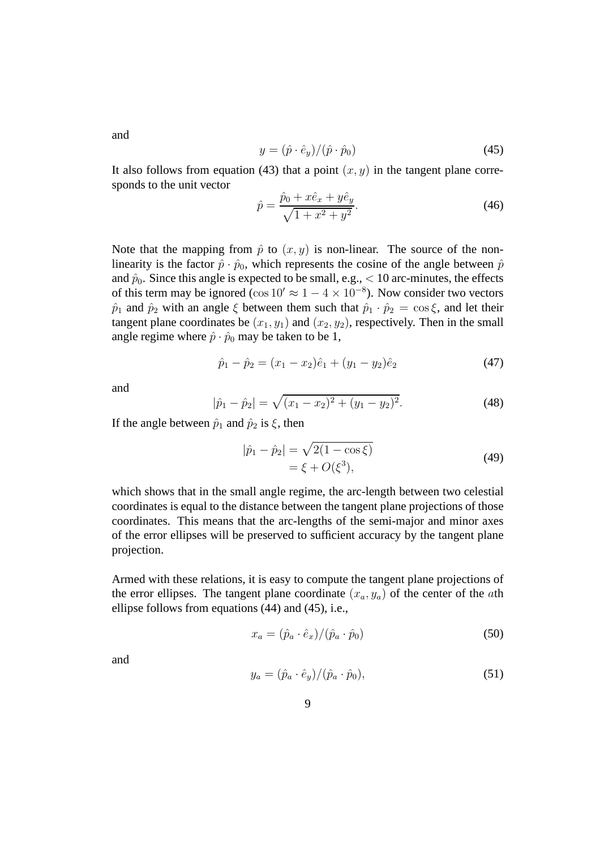and

$$
y = (\hat{p} \cdot \hat{e}_y) / (\hat{p} \cdot \hat{p}_0) \tag{45}
$$

It also follows from equation (43) that a point  $(x, y)$  in the tangent plane corresponds to the unit vector

$$
\hat{p} = \frac{\hat{p}_0 + x\hat{e}_x + y\hat{e}_y}{\sqrt{1 + x^2 + y^2}}.
$$
\n(46)

Note that the mapping from  $\hat{p}$  to  $(x, y)$  is non-linear. The source of the nonlinearity is the factor  $\hat{p} \cdot \hat{p}_0$ , which represents the cosine of the angle between  $\hat{p}$ and  $\hat{p}_0$ . Since this angle is expected to be small, e.g.,  $< 10$  arc-minutes, the effects of this term may be ignored (cos  $10' \approx 1 - 4 \times 10^{-8}$ ). Now consider two vectors  $\hat{p}_1$  and  $\hat{p}_2$  with an angle  $\xi$  between them such that  $\hat{p}_1 \cdot \hat{p}_2 = \cos \xi$ , and let their tangent plane coordinates be  $(x_1, y_1)$  and  $(x_2, y_2)$ , respectively. Then in the small angle regime where  $\hat{p} \cdot \hat{p}_0$  may be taken to be 1,

$$
\hat{p}_1 - \hat{p}_2 = (x_1 - x_2)\hat{e}_1 + (y_1 - y_2)\hat{e}_2 \tag{47}
$$

and

$$
|\hat{p}_1 - \hat{p}_2| = \sqrt{(x_1 - x_2)^2 + (y_1 - y_2)^2}.
$$
 (48)

If the angle between  $\hat{p}_1$  and  $\hat{p}_2$  is  $\xi$ , then

$$
|\hat{p}_1 - \hat{p}_2| = \sqrt{2(1 - \cos \xi)}= \xi + O(\xi^3),
$$
 (49)

which shows that in the small angle regime, the arc-length between two celestial coordinates is equal to the distance between the tangent plane projections of those coordinates. This means that the arc-lengths of the semi-major and minor axes of the error ellipses will be preserved to sufficient accuracy by the tangent plane projection.

Armed with these relations, it is easy to compute the tangent plane projections of the error ellipses. The tangent plane coordinate  $(x_a, y_a)$  of the center of the *ath* ellipse follows from equations (44) and (45), i.e.,

$$
x_a = (\hat{p}_a \cdot \hat{e}_x) / (\hat{p}_a \cdot \hat{p}_0) \tag{50}
$$

and

$$
y_a = (\hat{p}_a \cdot \hat{e}_y) / (\hat{p}_a \cdot \hat{p}_0),\tag{51}
$$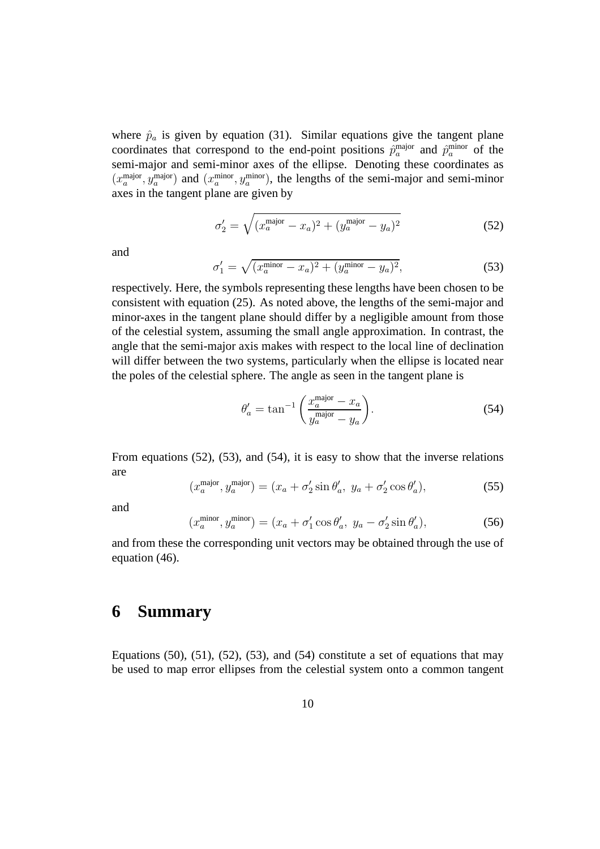where  $\hat{p}_a$  is given by equation (31). Similar equations give the tangent plane coordinates that correspond to the end-point positions  $\hat{p}_a^{\text{major}}$  and  $\hat{p}_a^{\text{minor}}$  of the semi-major and semi-minor axes of the ellipse. Denoting these coordinates as  $(x_a^{\text{major}}, y_a^{\text{major}})$  and  $(x_a^{\text{minor}}, y_a^{\text{minor}})$ , the lengths of the semi-major and semi-minor axes in the tangent plane are given by

$$
\sigma_2' = \sqrt{(x_a^{\text{major}} - x_a)^2 + (y_a^{\text{major}} - y_a)^2}
$$
 (52)

and

$$
\sigma_1' = \sqrt{(x_a^{\text{minor}} - x_a)^2 + (y_a^{\text{minor}} - y_a)^2},
$$
\n(53)

respectively. Here, the symbols representing these lengths have been chosen to be consistent with equation (25). As noted above, the lengths of the semi-major and minor-axes in the tangent plane should differ by a negligible amount from those of the celestial system, assuming the small angle approximation. In contrast, the angle that the semi-major axis makes with respect to the local line of declination will differ between the two systems, particularly when the ellipse is located near the poles of the celestial sphere. The angle as seen in the tangent plane is

$$
\theta'_a = \tan^{-1} \left( \frac{x_a^{\text{major}} - x_a}{y_a^{\text{major}} - y_a} \right). \tag{54}
$$

From equations (52), (53), and (54), it is easy to show that the inverse relations are

$$
(x_a^{\text{major}}, y_a^{\text{major}}) = (x_a + \sigma'_2 \sin \theta'_a, y_a + \sigma'_2 \cos \theta'_a), \tag{55}
$$

and

$$
(x_a^{\text{minor}}, y_a^{\text{minor}}) = (x_a + \sigma'_1 \cos \theta'_a, y_a - \sigma'_2 \sin \theta'_a), \tag{56}
$$

and from these the corresponding unit vectors may be obtained through the use of equation (46).

#### **6 Summary**

Equations  $(50)$ ,  $(51)$ ,  $(52)$ ,  $(53)$ , and  $(54)$  constitute a set of equations that may be used to map error ellipses from the celestial system onto a common tangent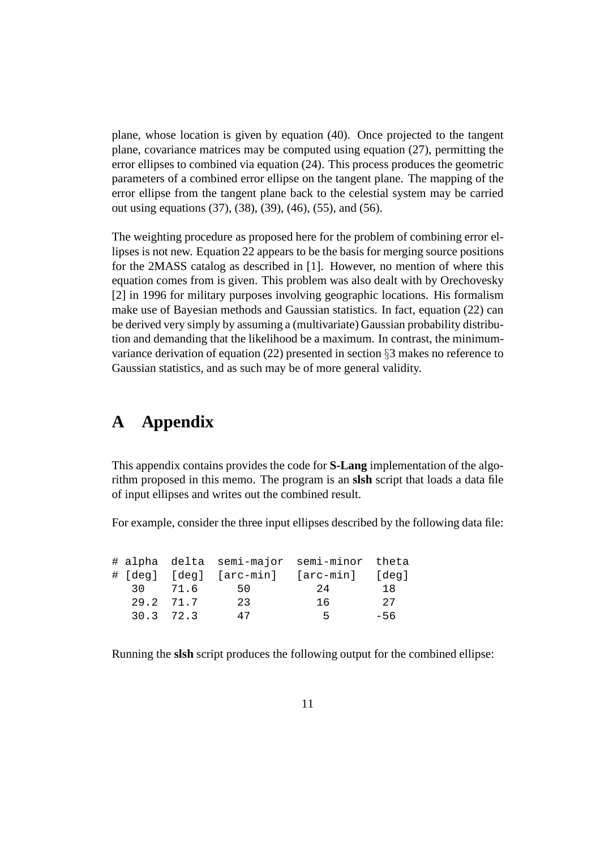plane, whose location is given by equation (40). Once projected to the tangent plane, covariance matrices may be computed using equation (27), permitting the error ellipses to combined via equation (24). This process produces the geometric parameters of a combined error ellipse on the tangent plane. The mapping of the error ellipse from the tangent plane back to the celestial system may be carried out using equations (37), (38), (39), (46), (55), and (56).

The weighting procedure as proposed here for the problem of combining error ellipses is not new. Equation 22 appears to be the basis for merging source positions for the 2MASS catalog as described in [1]. However, no mention of where this equation comes from is given. This problem was also dealt with by Orechovesky [2] in 1996 for military purposes involving geographic locations. His formalism make use of Bayesian methods and Gaussian statistics. In fact, equation (22) can be derived very simply by assuming a (multivariate) Gaussian probability distribution and demanding that the likelihood be a maximum. In contrast, the minimumvariance derivation of equation (22) presented in section §3 makes no reference to Gaussian statistics, and as such may be of more general validity.

#### **A Appendix**

This appendix contains provides the code for **S-Lang** implementation of the algorithm proposed in this memo. The program is an **slsh** script that loads a data file of input ellipses and writes out the combined result.

For example, consider the three input ellipses described by the following data file:

|           |           | # alpha delta semi-major semi-minor theta |       |     |
|-----------|-----------|-------------------------------------------|-------|-----|
|           |           | # [deq] [deq] [arc-min] [arc-min] [deq]   |       |     |
|           | 30 71.6   | 50                                        | - 2.4 | 18  |
|           | 29.2 71.7 | 23                                        | 16    | 2.7 |
| 30.3 72.3 |           | 47                                        | Б.    | -56 |

Running the **slsh** script produces the following output for the combined ellipse: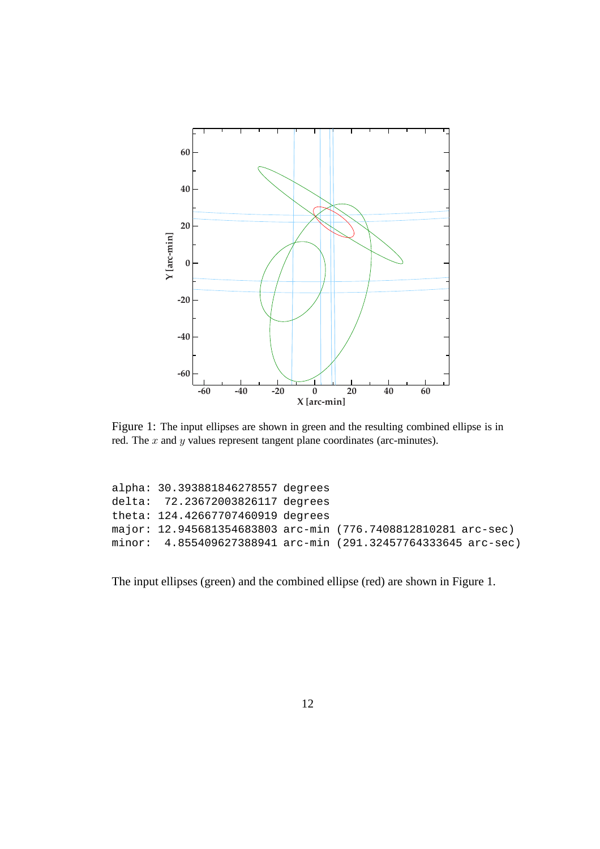

Figure 1: The input ellipses are shown in green and the resulting combined ellipse is in red. The  $x$  and  $y$  values represent tangent plane coordinates (arc-minutes).

|  | major: 12.945681354683803 arc-min (776.7408812810281 arc-sec)                                              |
|--|------------------------------------------------------------------------------------------------------------|
|  | minor: 4.855409627388941 arc-min (291.32457764333645 arc-sec)                                              |
|  | alpha: 30.393881846278557 degrees<br>delta: 72.23672003826117 degrees<br>theta: 124.42667707460919 degrees |

The input ellipses (green) and the combined ellipse (red) are shown in Figure 1.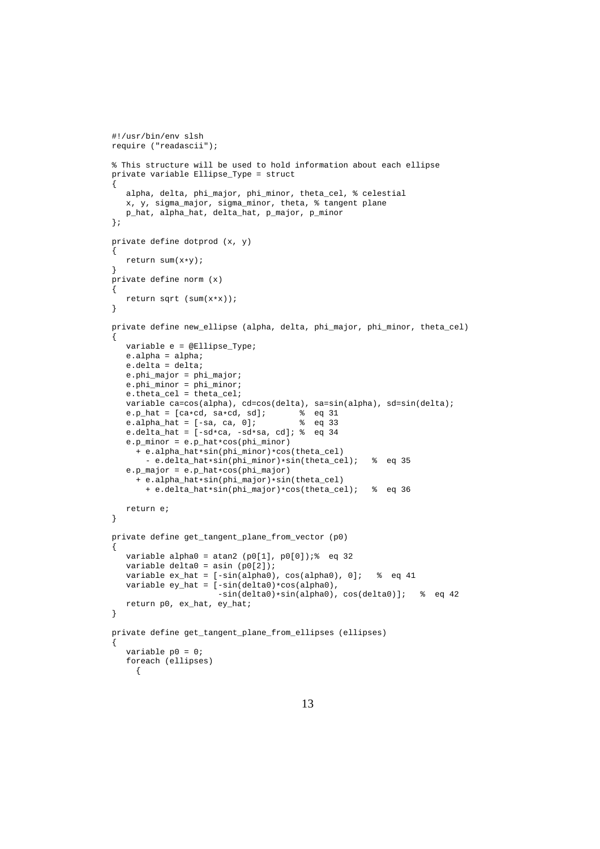```
#!/usr/bin/env slsh
require ("readascii");
% This structure will be used to hold information about each ellipse
private variable Ellipse_Type = struct
\mathcal{L}alpha, delta, phi_major, phi_minor, theta_cel, % celestial
   x, y, sigma_major, sigma_minor, theta, % tangent plane
   p_hat, alpha_hat, delta_hat, p_major, p_minor
};
private define dotprod (x, y)
\left\{ \right.return sum(x*y);
}
private define norm (x)
{
   return sqrt (sum(x*x));
}
private define new_ellipse (alpha, delta, phi_major, phi_minor, theta_cel)
{
   variable e = @Ellipse_Type;
   e.alpha = alpha;
   e.delta = delta;
   e.phi_major = phi_major;
   e.phi_minor = phi_minor;
   e.theta_cel = theta_cel;
   variable ca=cos(alpha), cd=cos(delta), sa=sin(alpha), sd=sin(delta);
   e.p_{hat} = [ca * cd, sa * cd, sd]; % eq 31<br>e.alpha hat = [-sa, ca, 0]; % eq 33e.alpha_hat = [-sa, ca, 0];e.delta_hat = [-sd*ca, -sd*sa, cd]; % eq 34
   e.p_minor = e.p_hat*cos(phi_minor)
     + e.alpha_hat*sin(phi_minor)*cos(theta_cel)
       - e.delta_hat*sin(phi_minor)*sin(theta_cel); % eq 35
   e.p_major = e.p_hat*cos(phi_major)
     + e.alpha_hat*sin(phi_major)*sin(theta_cel)
       + e.delta_hat*sin(phi_major)*cos(theta_cel); % eq 36
   return e;
}
private define get_tangent_plane_from_vector (p0)
\{variable alpha0 = \text{atan2 (p0[1], p0[0])}; eq 32
   variable delta0 =asin (p0[2]);
   variable ex\_hat = [-sin(alpha0), cos(alpha0), 0]; % eq 41
   variable ey\_hat = [-sin(detta0)*cos(alpha0),-sin(delta0)*sin(alpha0), cos(delta0)]; % eq 42
   return p0, ex_hat, ey_hat;
}
private define get_tangent_plane_from_ellipses (ellipses)
{
   variable p0 = 0;
   foreach (ellipses)
     {
```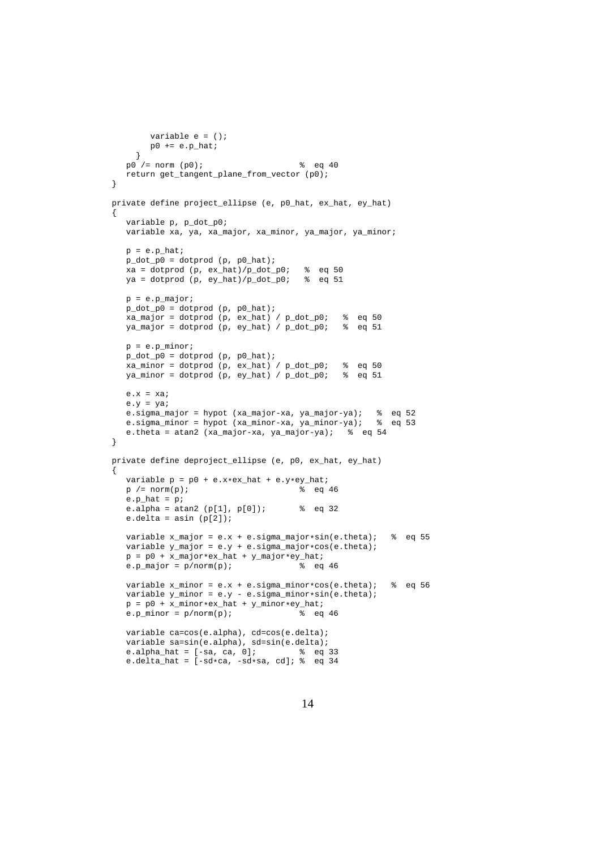```
variable e = ();
       p0 == e.p_hat;}
   p0 /= norm (p0); % eq 40
   return get_tangent_plane_from_vector (p0);
}
private define project_ellipse (e, p0_hat, ex_hat, ey_hat)
{
   variable p, p_dot_p0;
   variable xa, ya, xa_major, xa_minor, ya_major, ya_minor;
   p = e.p_{hat}p\_dot\_p0 = dotprod(p, p0\_hat);xa = dotprod (p, ex_hat)/p_dot_p0; % eq 50
   ya = dotprod (p, ey_hat)/p_dot_p0; % eq 51
   p = e.p_major;
   p\_dot\_p0 = dotprod (p, p0\_hat);xa_major = dotprod (p, ex_hat) / p_dot_p0; % eq 50
   ya_major = dotprod (p, ey_hat) / p_dot_p0; % eq 51
   p = e.p_minor;
   p\_dot\_p0 = dotprod (p, p0\_hat);xa\_minor = dotprod (p, ex\_hat) / p\_dot\_p0; % eq 50
   ya\_minor = dotprod (p, ey\_hat) / p\_dot\_p0; % eq 51e.x = xae.y = yae.sigma_major = hypot (xa_major-xa, ya_major-ya); % eq 52
   e.sigma_minor = hypot (xa_minor-xa, ya_minor-ya); % eq 53
   e.theta = atan2 (xa_major-xa, ya_major-ya); % eq 54
}
private define deproject_ellipse (e, p0, ex_hat, ey_hat)
{
   variable p = p0 + e.x*ex_hat + e.y*ey_hat;
  p /= norm(p);
   e.p\_hat = pie.alpha = atan2 (p[1], p[0]); % eq 32
   e.delta = asin (p[2]);
   variable x_major = e.x + e.sigma_major*sin(e.theta); \frac{1}{2} eq 55
   variable y_major = e.y + e.sigma_major*cos(e.theta);
   p = p0 + x major*ex_hat + y_major*ey_hat;<br>e.p_major = p/norm(p); \frac{2}{3} eq 46
   e.p_major = p/norm(p);
   variable x_minor = e.x + e.sigma_minor*cos(e.theta); % eq 56
   variable y_minor = e.y - e.sigma_minor*sin(e.theta);
   p = p0 + x_minor*ex_hat + y_minor*ey_hat;
   e.p_minor = p/norm(p); \frac{1}{6} eq 46
   variable ca=cos(e.alpha), cd=cos(e.delta);
   variable sa=sin(e.alpha), sd=sin(e.delta);
   e.alpha_hat = [-sa, ca, 0]; % eq 33
   e.delta_hat = [-sd*ca, -sd*sa, cd]; % eq 34
```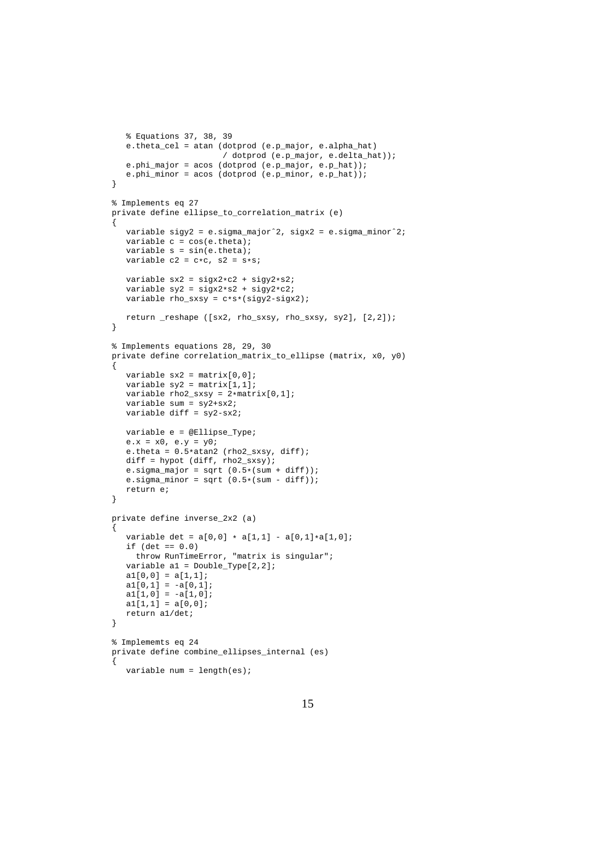```
% Equations 37, 38, 39
   e.theta_cel = atan (dotprod (e.p_major, e.alpha_hat)
                       / dotprod (e.p_major, e.delta_hat));
   e.phi_major = acos (dotprod (e.p_major, e.p_hat));
   e.phi_minor = acos (dotprod (e.p_minor, e.p_hat));
}
% Implements eq 27
private define ellipse_to_correlation_matrix (e)
{
   variable sigy2 = e.sigma_majorˆ2, sigx2 = e.sigma_minorˆ2;
   variable c = \cos(e.\theta);
   variable s = sin(e,theta);
   variable c2 = c*c, s2 = s*s;
   variable sx2 = sigx2*c2 + sigy2*s2;
   variable sy2 = sigx2*s2 + sigy2*c2;
   variable rho_sxsy = c*s*(sigy2-sigx2);
   return _reshape ([sx2, rho_sxsy, rho_sxsy, sy2], [2,2]);
}
% Implements equations 28, 29, 30
private define correlation_matrix_to_ellipse (matrix, x0, y0)
\{variable sx2 = matrix[0,0];
   variable sy2 = matrix[1,1];
   variable rho2_sxsy = 2*matrix[0,1];
   variable sum = sy2+sx2;
   variable diff = sy2-sx2;
   variable e = @Ellipse_Type;
   e.x = x0, e.y = y0;e.theta = 0.5*atan2 (rho2_sxsy, diff);
   diff = hypot (diff, rho2_sxsy);
   e.sigma_major = sqrt (0.5*(sum + diff));
   e.sigma_minor = sqrt (0.5*(sum - diff));
   return e;
}
private define inverse_2x2 (a)
{
   variable det = a[0,0] * a[1,1] - a[0,1]*a[1,0];if (det == 0.0)throw RunTimeError, "matrix is singular";
   variable a1 = Double_Type[2,2];
   a1[0,0] = a[1,1];a1[0,1] = -a[0,1];a1[1,0] = -a[1,0];a1[1,1] = a[0,0];return a1/det;
}
% Implememts eq 24
private define combine_ellipses_internal (es)
{
   variable num = length(es);
```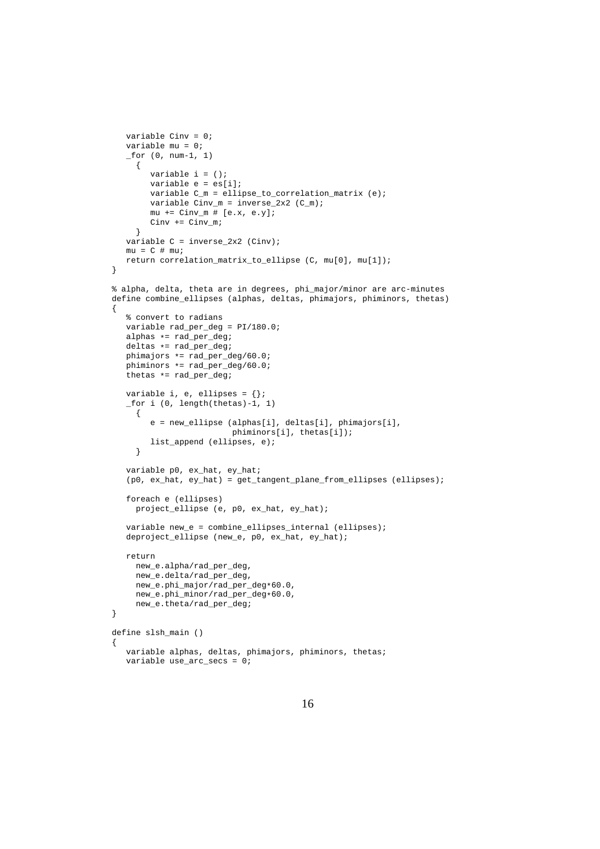```
variable Cinv = 0;
   variable mu = 0;
   for (0, num-1, 1){
        variable i = ();
        variable e = es[i];
        variable C_m = ellipse_to_correlation_matrix (e);
        variable Cinv_m = inverse_2x2 (C_m);
        mu += Cinv_m # [e.x, e.y];
        Cinv += Cinv_m;
     }
   variable C = inverse_2x2 (Cinv);
   mu = C # mu;return correlation_matrix_to_ellipse (C, mu[0], mu[1]);
}
% alpha, delta, theta are in degrees, phi_major/minor are arc-minutes
define combine_ellipses (alphas, deltas, phimajors, phiminors, thetas)
{
   % convert to radians
   variable rad_per_deg = PI/180.0;
   alphas *= rad_per_deg;
   deltas *= rad_per_deg;
   phimajors *= rad_per_deg/60.0;
   phiminors *= rad_per_deg/60.0;
   thetas *= rad_per_deg;
   variable i, e, ellipses = \{\};
   _for i (0, length(thetas)-1, 1)
     {
        e = new_ellipse (alphas[i], deltas[i], phimajors[i],
                         phiminors[i], thetas[i]);
        list_append (ellipses, e);
     }
   variable p0, ex_hat, ey_hat;
   (p0, ex_hat, ey_hat) = get_tangent_plane_from_ellipses (ellipses);
   foreach e (ellipses)
     project_ellipse (e, p0, ex_hat, ey_hat);
   variable new_e = combine_ellipses_internal (ellipses);
   deproject_ellipse (new_e, p0, ex_hat, ey_hat);
   return
     new_e.alpha/rad_per_deg,
     new_e.delta/rad_per_deg,
     new_e.phi_major/rad_per_deg*60.0,
     new_e.phi_minor/rad_per_deg*60.0,
     new_e.theta/rad_per_deg;
}
define slsh_main ()
{
   variable alphas, deltas, phimajors, phiminors, thetas;
   variable use_arc_secs = 0;
```